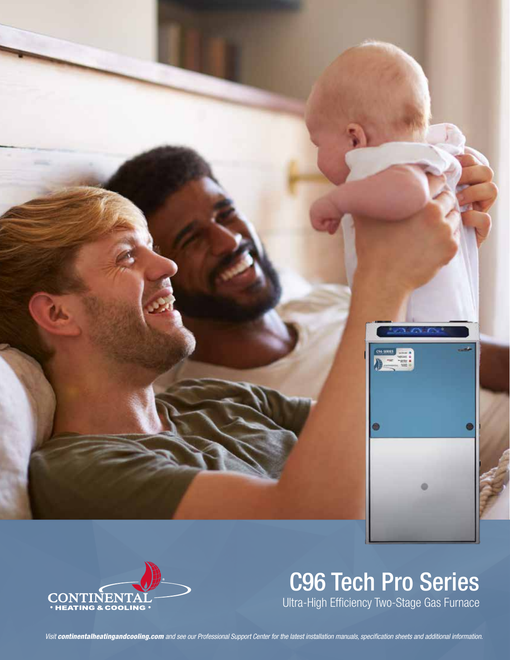



# C96 Tech Pro Series Ultra-High Efficiency Two-Stage Gas Furnace

*Visit continentalheatingandcooling.com and see our Professional Support Center for the latest installation manuals, specification sheets and additional information.*